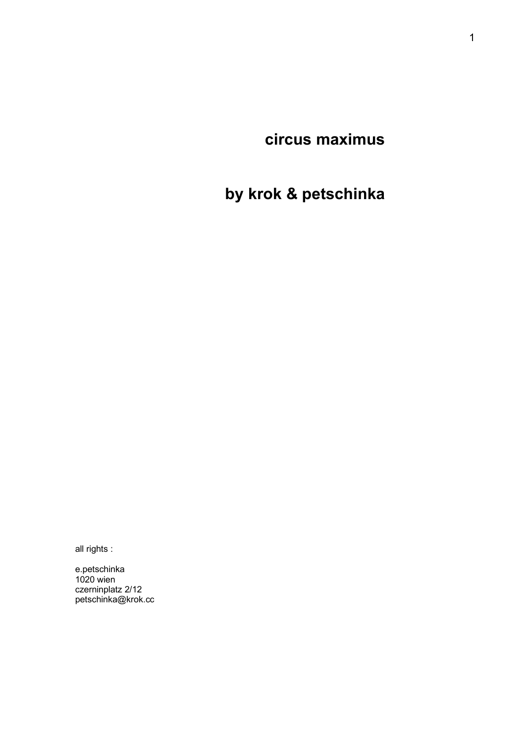**circus maximus**

**by krok & petschinka**

all rights :

e.petschinka 1020 wien czerninplatz 2/12 petschinka@krok.cc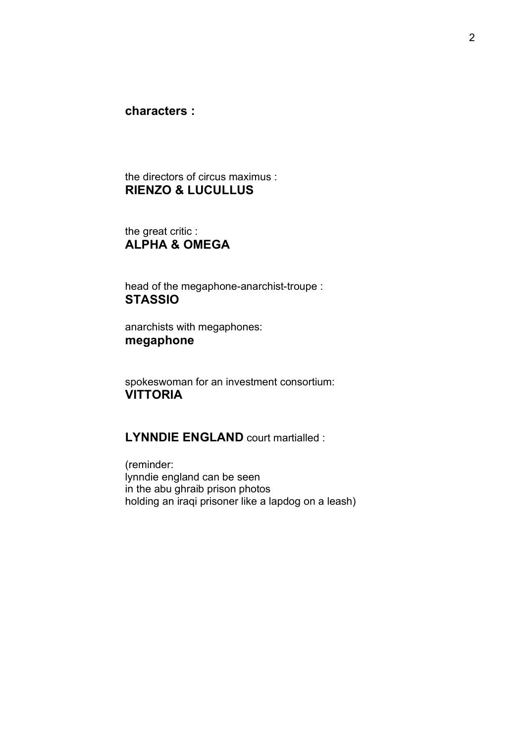**characters :**

the directors of circus maximus : **RIENZO & LUCULLUS**

the great critic : **ALPHA & OMEGA**

head of the megaphone-anarchist-troupe : **STASSIO**

anarchists with megaphones: **megaphone**

spokeswoman for an investment consortium: **VITTORIA**

**LYNNDIE ENGLAND** court martialled :

(reminder: lynndie england can be seen in the abu ghraib prison photos holding an iraqi prisoner like a lapdog on a leash)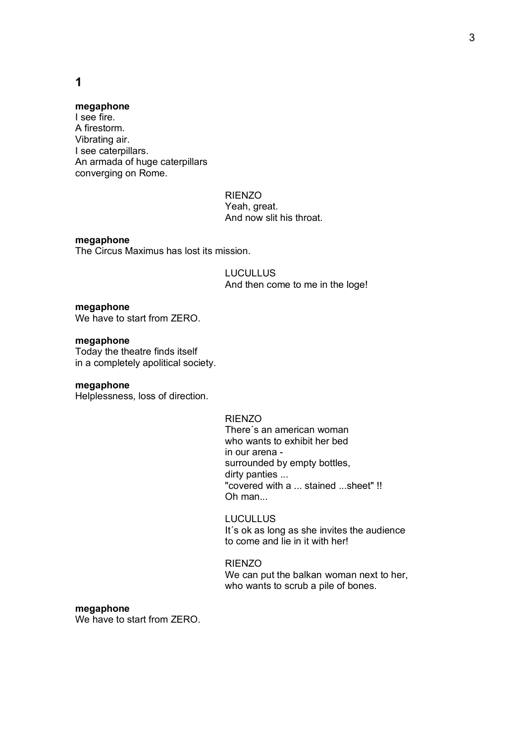## **1**

### **megaphone**

I see fire. A firestorm. Vibrating air. I see caterpillars. An armada of huge caterpillars converging on Rome.

> RIENZO Yeah, great. And now slit his throat.

### **megaphone**

The Circus Maximus has lost its mission.

**LUCULLUS** And then come to me in the loge!

### **megaphone**

We have to start from ZERO.

### **megaphone**

Today the theatre finds itself in a completely apolitical society.

#### **megaphone**

Helplessness, loss of direction.

### RIENZO

There´s an american woman who wants to exhibit her bed in our arena surrounded by empty bottles, dirty panties ... "covered with a ... stained ...sheet" !! Oh man...

### LUCULLUS

It´s ok as long as she invites the audience to come and lie in it with her!

#### RIENZO

We can put the balkan woman next to her, who wants to scrub a pile of bones.

### **megaphone**

We have to start from ZERO.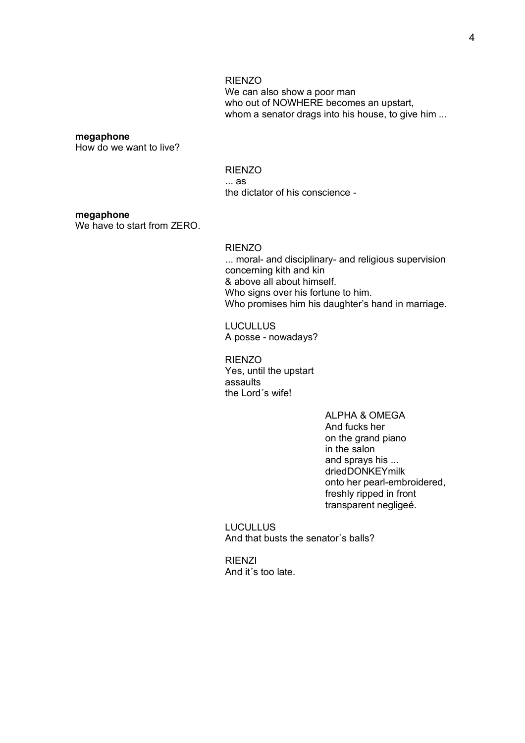#### RIENZO

We can also show a poor man who out of NOWHERE becomes an upstart, whom a senator drags into his house, to give him ...

#### **megaphone**

How do we want to live?

RIENZO ... as the dictator of his conscience -

#### **megaphone**

We have to start from ZERO.

RIENZO ... moral- and disciplinary- and religious supervision concerning kith and kin & above all about himself. Who signs over his fortune to him. Who promises him his daughter's hand in marriage.

**LUCULLUS** A posse - nowadays?

RIENZO Yes, until the upstart assaults the Lord´s wife!

> ALPHA & OMEGA And fucks her on the grand piano in the salon and sprays his ... driedDONKEYmilk onto her pearl-embroidered, freshly ripped in front transparent negligeé.

LUCULLUS And that busts the senator´s balls?

RIENZI And it´s too late.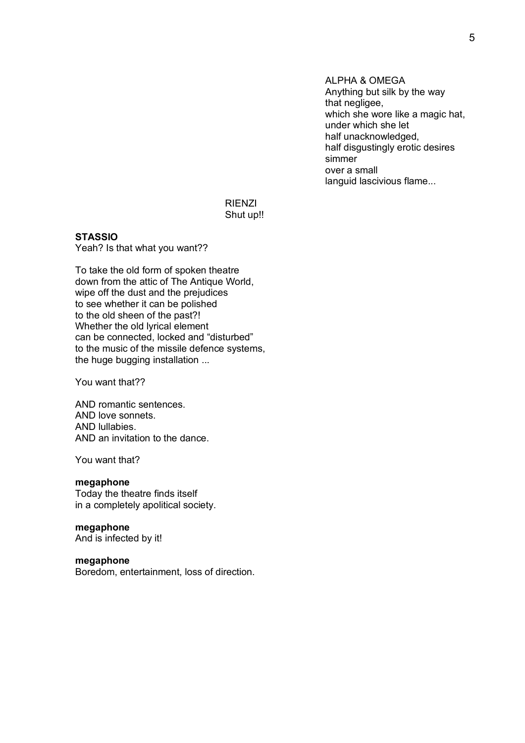ALPHA & OMEGA Anything but silk by the way that negligee, which she wore like a magic hat, under which she let half unacknowledged, half disgustingly erotic desires simmer over a small languid lascivious flame...

### RIENZI Shut up!!

## **STASSIO**

Yeah? Is that what you want??

To take the old form of spoken theatre down from the attic of The Antique World, wipe off the dust and the prejudices to see whether it can be polished to the old sheen of the past?! Whether the old lyrical element can be connected, locked and "disturbed" to the music of the missile defence systems, the huge bugging installation ...

You want that??

AND romantic sentences. AND love sonnets. AND lullabies. AND an invitation to the dance.

You want that?

#### **megaphone**

Today the theatre finds itself in a completely apolitical society.

## **megaphone**

And is infected by it!

### **megaphone**

Boredom, entertainment, loss of direction.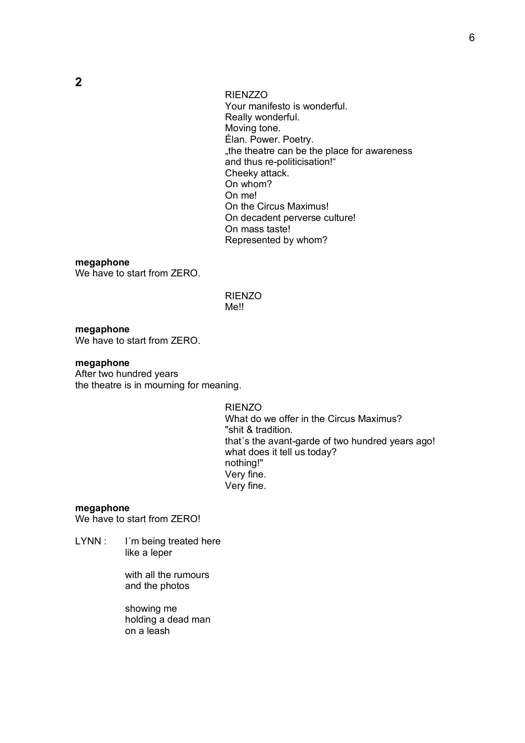RIENZZO Your manifesto is wonderful. Really wonderful. Moving tone. Élan. Power. Poetry. ..the theatre can be the place for awareness and thus re-politicisation!" Cheeky attack. On whom? On me! On the Circus Maximus! On decadent perverse culture! On mass taste! Represented by whom?

#### **megaphone**

We have to start from ZERO.

RIENZO Me!!

**megaphone** We have to start from ZERO.

#### **megaphone**

After two hundred years the theatre is in mourning for meaning.

> RIENZO What do we offer in the Circus Maximus? "shit & tradition. that´s the avant-garde of two hundred years ago! what does it tell us today? nothing!" Very fine. Very fine.

#### **megaphone**

We have to start from ZERO!

LYNN : I'm being treated here like a leper

> with all the rumours and the photos

> showing me holding a dead man on a leash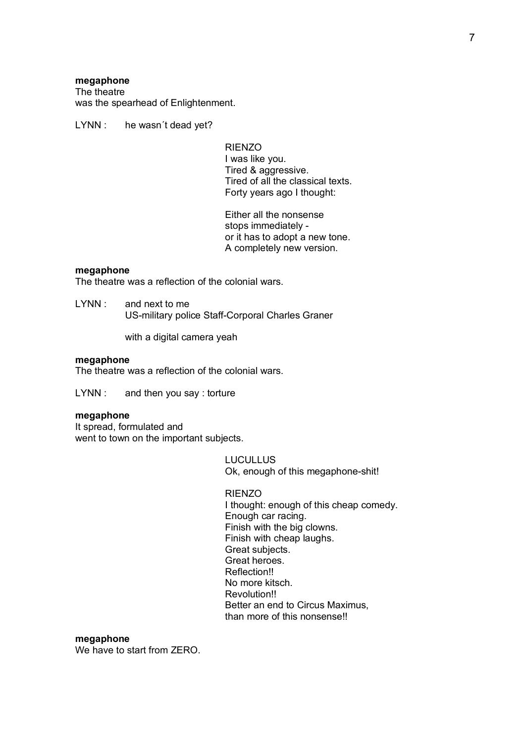#### **megaphone**

The theatre was the spearhead of Enlightenment.

LYNN : he wasn't dead yet?

RIENZO I was like you. Tired & aggressive. Tired of all the classical texts. Forty years ago I thought:

Either all the nonsense stops immediately or it has to adopt a new tone. A completely new version.

#### **megaphone**

The theatre was a reflection of the colonial wars.

LYNN : and next to me US-military police Staff-Corporal Charles Graner

with a digital camera yeah

#### **megaphone**

The theatre was a reflection of the colonial wars.

LYNN : and then you say : torture

#### **megaphone**

It spread, formulated and went to town on the important subjects.

> LUCULLUS Ok, enough of this megaphone-shit!

#### RIENZO

I thought: enough of this cheap comedy. Enough car racing. Finish with the big clowns. Finish with cheap laughs. Great subjects. Great heroes. Reflection!! No more kitsch. Revolution!! Better an end to Circus Maximus, than more of this nonsense!!

#### **megaphone**

We have to start from ZERO.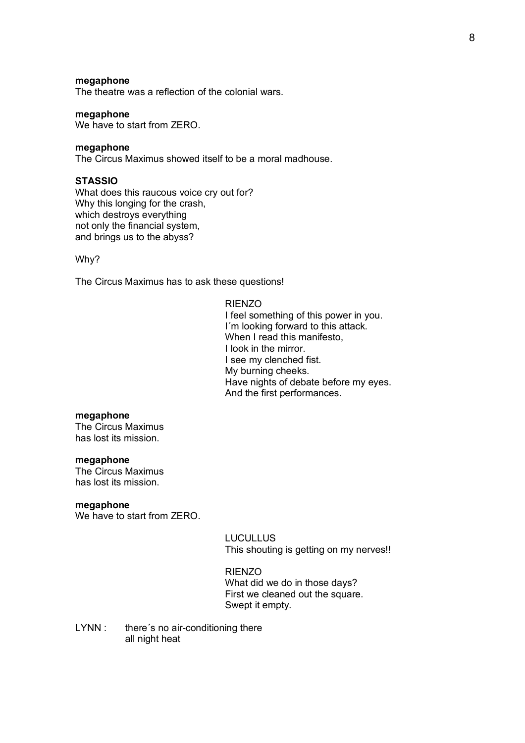### **megaphone**

The theatre was a reflection of the colonial wars.

### **megaphone**

We have to start from ZERO.

#### **megaphone**

The Circus Maximus showed itself to be a moral madhouse.

#### **STASSIO**

What does this raucous voice cry out for? Why this longing for the crash, which destroys everything not only the financial system, and brings us to the abyss?

#### Why?

The Circus Maximus has to ask these questions!

#### RIENZO

I feel something of this power in you. I´m looking forward to this attack. When I read this manifesto. I look in the mirror. I see my clenched fist. My burning cheeks. Have nights of debate before my eyes. And the first performances.

#### **megaphone**

The Circus Maximus has lost its mission.

### **megaphone**

The Circus Maximus has lost its mission.

#### **megaphone**

We have to start from ZERO.

LUCULLUS This shouting is getting on my nerves!!

#### RIENZO

What did we do in those days? First we cleaned out the square. Swept it empty.

LYNN : there's no air-conditioning there all night heat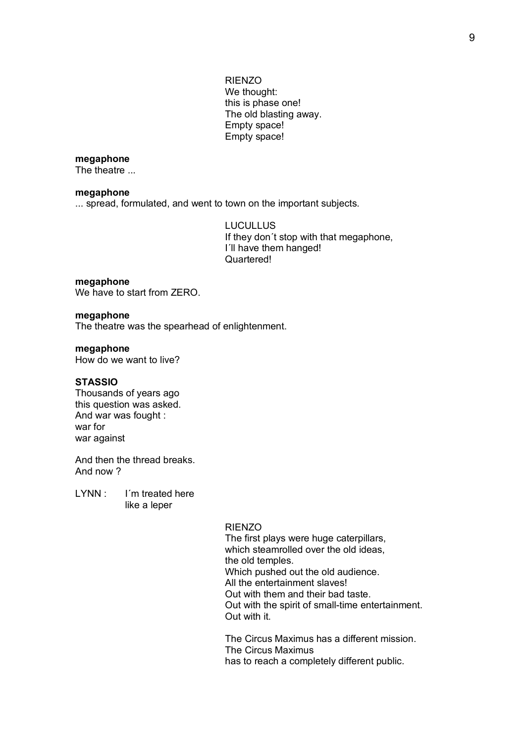RIENZO We thought: this is phase one! The old blasting away. Empty space! Empty space!

### **megaphone**

The theatre ...

#### **megaphone**

... spread, formulated, and went to town on the important subjects.

LUCULLUS If they don´t stop with that megaphone, I´ll have them hanged! Quartered!

#### **megaphone**

We have to start from ZERO.

### **megaphone**

The theatre was the spearhead of enlightenment.

#### **megaphone**

How do we want to live?

### **STASSIO**

Thousands of years ago this question was asked. And war was fought : war for war against

And then the thread breaks. And now ?

LYNN : I'm treated here like a leper

#### RIENZO

The first plays were huge caterpillars, which steamrolled over the old ideas, the old temples. Which pushed out the old audience. All the entertainment slaves! Out with them and their bad taste. Out with the spirit of small-time entertainment. Out with it.

The Circus Maximus has a different mission. The Circus Maximus has to reach a completely different public.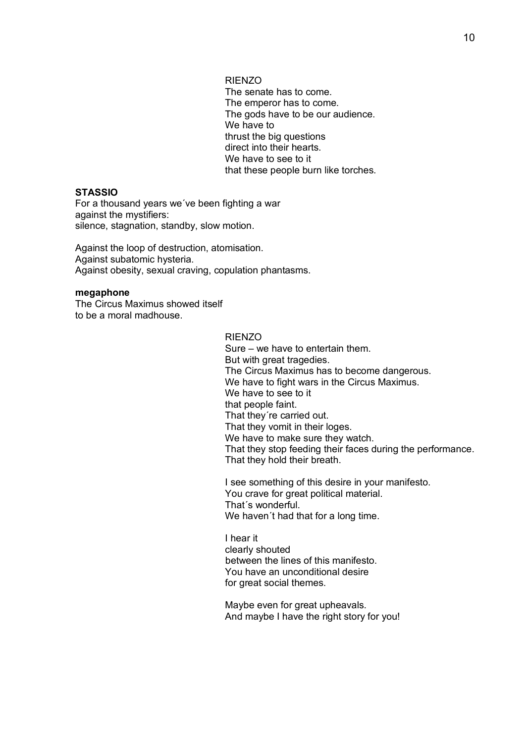RIENZO

The senate has to come. The emperor has to come. The gods have to be our audience. We have to thrust the big questions direct into their hearts. We have to see to it that these people burn like torches.

## **STASSIO**

For a thousand years we´ve been fighting a war against the mystifiers: silence, stagnation, standby, slow motion.

Against the loop of destruction, atomisation. Against subatomic hysteria. Against obesity, sexual craving, copulation phantasms.

#### **megaphone**

The Circus Maximus showed itself to be a moral madhouse.

RIENZO

Sure – we have to entertain them. But with great tragedies. The Circus Maximus has to become dangerous. We have to fight wars in the Circus Maximus. We have to see to it that people faint. That they´re carried out. That they vomit in their loges. We have to make sure they watch. That they stop feeding their faces during the performance. That they hold their breath.

I see something of this desire in your manifesto. You crave for great political material. That´s wonderful. We haven't had that for a long time.

I hear it clearly shouted between the lines of this manifesto. You have an unconditional desire for great social themes.

Maybe even for great upheavals. And maybe I have the right story for you!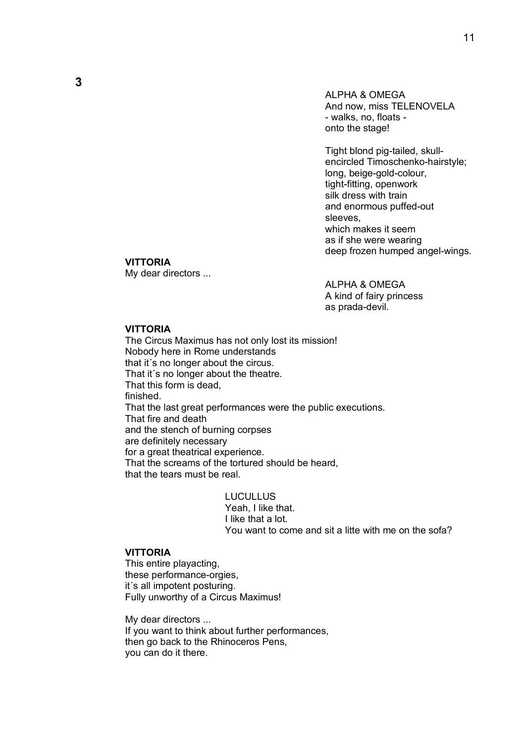ALPHA & OMEGA And now, miss TELENOVELA - walks, no, floats onto the stage!

Tight blond pig-tailed, skullencircled Timoschenko-hairstyle; long, beige-gold-colour, tight-fitting, openwork silk dress with train and enormous puffed-out sleeves, which makes it seem as if she were wearing deep frozen humped angel-wings.

### **VITTORIA**

My dear directors ...

ALPHA & OMEGA A kind of fairy princess as prada-devil.

### **VITTORIA**

The Circus Maximus has not only lost its mission! Nobody here in Rome understands that it's no longer about the circus. That it's no longer about the theatre. That this form is dead, finished. That the last great performances were the public executions. That fire and death and the stench of burning corpses are definitely necessary for a great theatrical experience. That the screams of the tortured should be heard, that the tears must be real.

> **LUCULLUS** Yeah, I like that. I like that a lot. You want to come and sit a litte with me on the sofa?

#### **VITTORIA**

This entire playacting, these performance-orgies, it´s all impotent posturing. Fully unworthy of a Circus Maximus!

My dear directors ... If you want to think about further performances, then go back to the Rhinoceros Pens, you can do it there.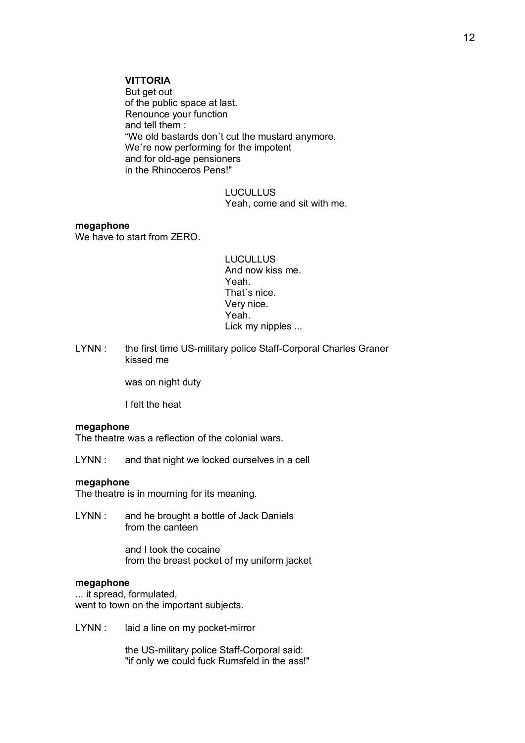### **VITTORIA**

But get out of the public space at last. Renounce your function and tell them : "We old bastards don´t cut the mustard anymore. We´re now performing for the impotent and for old-age pensioners in the Rhinoceros Pens!"

> **LUCULLUS** Yeah, come and sit with me.

### **megaphone**

We have to start from ZERO.

LUCULLUS And now kiss me. Yeah. That´s nice. Very nice. Yeah. Lick my nipples ...

LYNN : the first time US-military police Staff-Corporal Charles Graner kissed me

was on night duty

I felt the heat

#### **megaphone**

The theatre was a reflection of the colonial wars.

LYNN : and that night we locked ourselves in a cell

#### **megaphone**

The theatre is in mourning for its meaning.

LYNN : and he brought a bottle of Jack Daniels from the canteen

> and I took the cocaine from the breast pocket of my uniform jacket

#### **megaphone**

... it spread, formulated, went to town on the important subjects.

LYNN : laid a line on my pocket-mirror

the US-military police Staff-Corporal said: "if only we could fuck Rumsfeld in the ass!"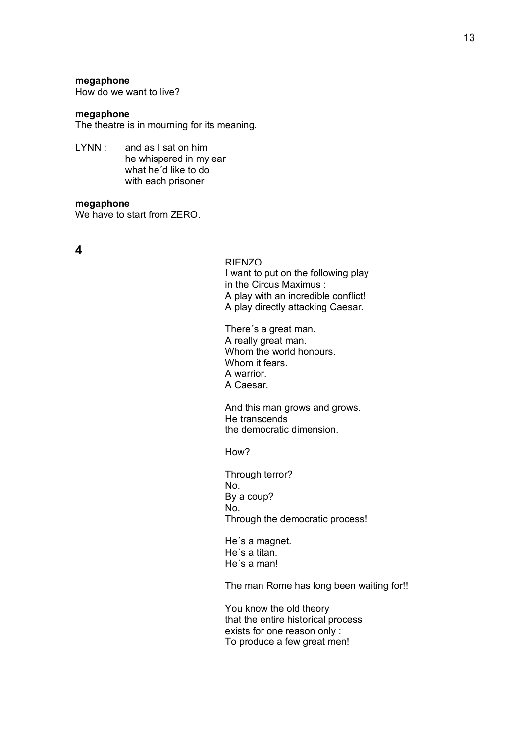#### **megaphone**

How do we want to live?

### **megaphone**

The theatre is in mourning for its meaning.

LYNN : and as I sat on him he whispered in my ear what he´d like to do with each prisoner

#### **megaphone**

We have to start from ZERO.

### **4**

#### RIENZO

I want to put on the following play in the Circus Maximus : A play with an incredible conflict! A play directly attacking Caesar.

There´s a great man. A really great man. Whom the world honours. Whom it fears. A warrior. A Caesar.

And this man grows and grows. He transcends the democratic dimension.

How?

Through terror? No. By a coup? No. Through the democratic process!

He´s a magnet. He´s a titan. He´s a man!

The man Rome has long been waiting for!!

You know the old theory that the entire historical process exists for one reason only : To produce a few great men!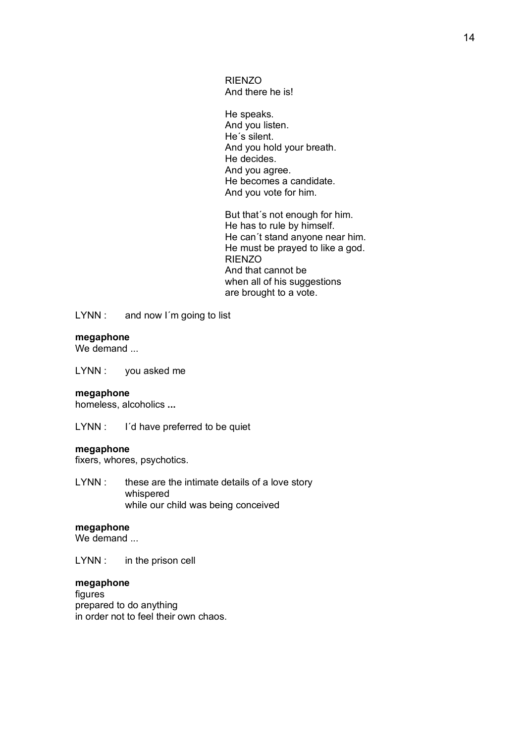RIENZO And there he is!

He speaks. And you listen. He´s silent. And you hold your breath. He decides. And you agree. He becomes a candidate. And you vote for him.

But that´s not enough for him. He has to rule by himself. He can´t stand anyone near him. He must be prayed to like a god. RIENZO And that cannot be when all of his suggestions are brought to a vote.

LYNN : and now I'm going to list

### **megaphone**

We demand ...

LYNN : you asked me

#### **megaphone**

homeless, alcoholics **...**

LYNN : I'd have preferred to be quiet

### **megaphone**

fixers, whores, psychotics.

LYNN : these are the intimate details of a love story whispered while our child was being conceived

### **megaphone**

We demand

LYNN : in the prison cell

### **megaphone**

figures prepared to do anything in order not to feel their own chaos.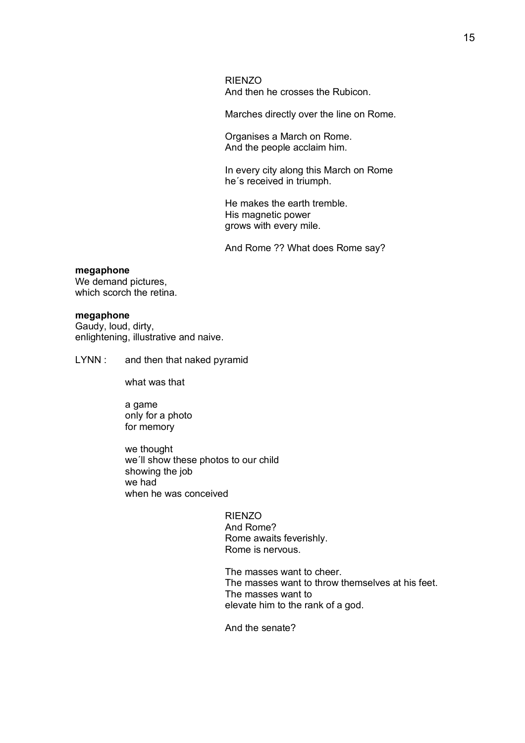RIENZO And then he crosses the Rubicon.

Marches directly over the line on Rome.

Organises a March on Rome. And the people acclaim him.

In every city along this March on Rome he´s received in triumph.

He makes the earth tremble. His magnetic power grows with every mile.

And Rome ?? What does Rome say?

#### **megaphone**

We demand pictures, which scorch the retina.

#### **megaphone**

Gaudy, loud, dirty, enlightening, illustrative and naive.

LYNN : and then that naked pyramid

what was that

a game only for a photo for memory

we thought we´ll show these photos to our child showing the job we had when he was conceived

> RIENZO And Rome? Rome awaits feverishly. Rome is nervous.

The masses want to cheer. The masses want to throw themselves at his feet. The masses want to elevate him to the rank of a god.

And the senate?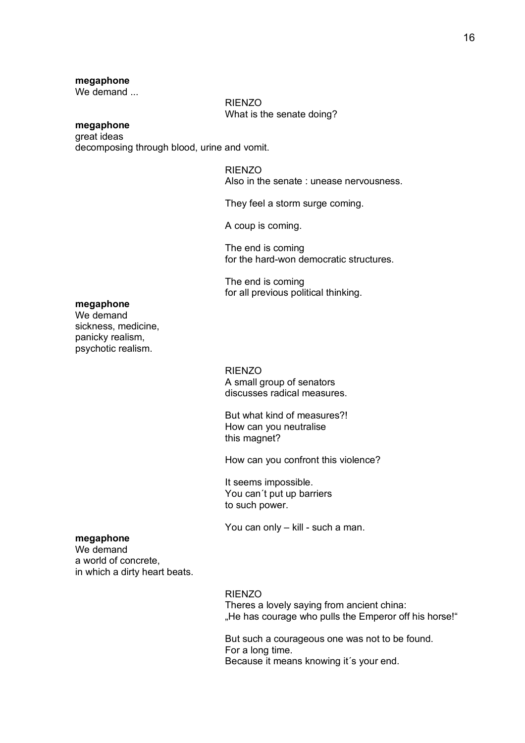#### **megaphone**

We demand ...

RIENZO What is the senate doing?

## **megaphone**

great ideas decomposing through blood, urine and vomit.

### RIENZO

Also in the senate : unease nervousness.

They feel a storm surge coming.

A coup is coming.

The end is coming for the hard-won democratic structures.

The end is coming for all previous political thinking.

## **megaphone**

We demand sickness, medicine, panicky realism, psychotic realism.

### RIENZO

A small group of senators discusses radical measures.

But what kind of measures?! How can you neutralise this magnet?

How can you confront this violence?

It seems impossible. You can´t put up barriers to such power.

You can only – kill - such a man.

### **megaphone**

We demand a world of concrete, in which a dirty heart beats.

#### RIENZO

Theres a lovely saying from ancient china: "He has courage who pulls the Emperor off his horse!"

But such a courageous one was not to be found. For a long time. Because it means knowing it´s your end.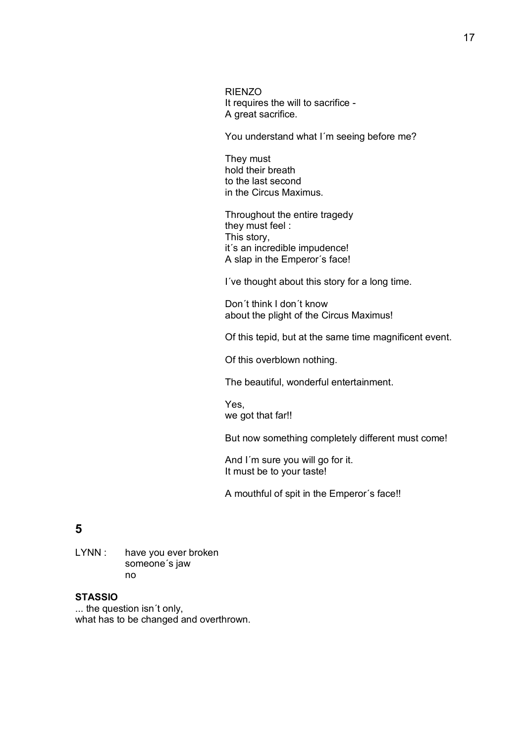RIENZO It requires the will to sacrifice - A great sacrifice.

You understand what I´m seeing before me?

They must hold their breath to the last second in the Circus Maximus.

Throughout the entire tragedy they must feel : This story, it´s an incredible impudence! A slap in the Emperor´s face!

I´ve thought about this story for a long time.

Don´t think I don´t know about the plight of the Circus Maximus!

Of this tepid, but at the same time magnificent event.

Of this overblown nothing.

The beautiful, wonderful entertainment.

Yes, we got that far!!

But now something completely different must come!

And I´m sure you will go for it. It must be to your taste!

A mouthful of spit in the Emperor´s face!!

# **5**

LYNN : have you ever broken someone´s jaw no

## **STASSIO**

... the question isn´t only, what has to be changed and overthrown.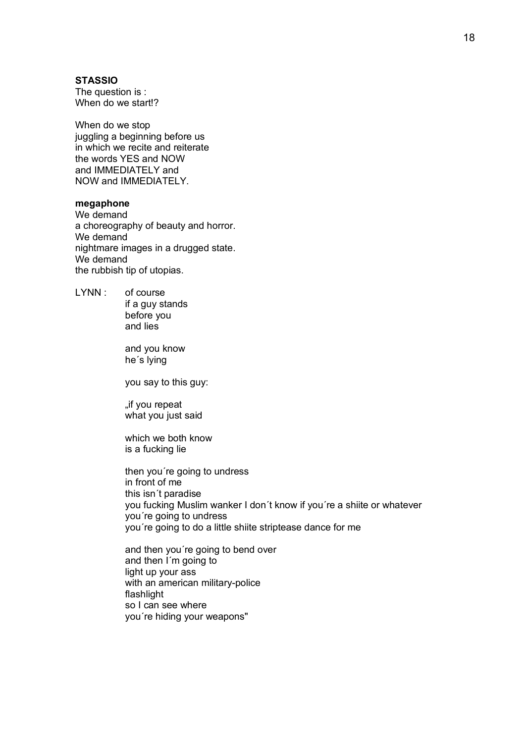### **STASSIO**

The question is : When do we start!?

When do we stop juggling a beginning before us in which we recite and reiterate the words YES and NOW and IMMEDIATELY and NOW and IMMEDIATELY.

### **megaphone**

We demand a choreography of beauty and horror. We demand nightmare images in a drugged state. We demand the rubbish tip of utopias.

LYNN : of course if a guy stands before you and lies

> and you know he´s lying

you say to this guy:

"if you repeat what you just said

which we both know is a fucking lie

then you´re going to undress in front of me this isn´t paradise you fucking Muslim wanker I don´t know if you´re a shiite or whatever you´re going to undress you´re going to do a little shiite striptease dance for me

and then you´re going to bend over and then I´m going to light up your ass with an american military-police flashlight so I can see where you´re hiding your weapons"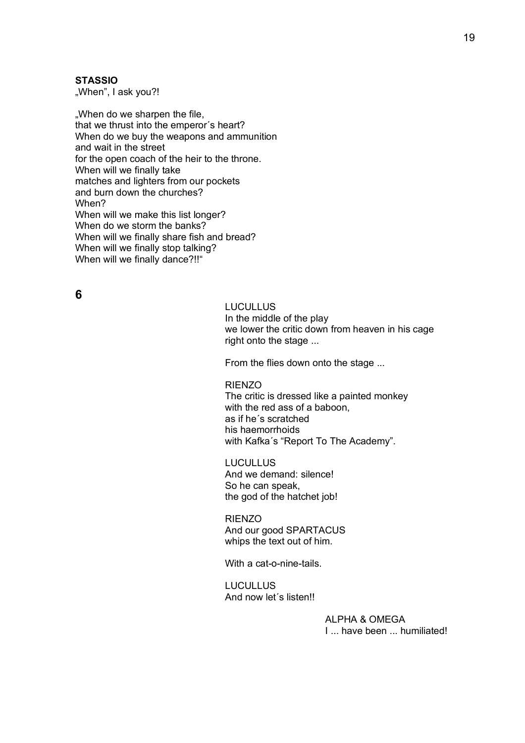### **STASSIO**

"When", I ask you?!

"When do we sharpen the file, that we thrust into the emperor´s heart? When do we buy the weapons and ammunition and wait in the street for the open coach of the heir to the throne. When will we finally take matches and lighters from our pockets and burn down the churches? When? When will we make this list longer? When do we storm the banks? When will we finally share fish and bread? When will we finally stop talking? When will we finally dance?!!"

## **6**

## LUCULLUS

In the middle of the play we lower the critic down from heaven in his cage right onto the stage ...

From the flies down onto the stage ...

### RIENZO

The critic is dressed like a painted monkey with the red ass of a baboon, as if he´s scratched his haemorrhoids with Kafka´s "Report To The Academy".

LUCULLUS And we demand: silence! So he can speak, the god of the hatchet job!

RIENZO And our good SPARTACUS whips the text out of him.

With a cat-o-nine-tails.

LUCULLUS And now let´s listen!!

> ALPHA & OMEGA I ... have been ... humiliated!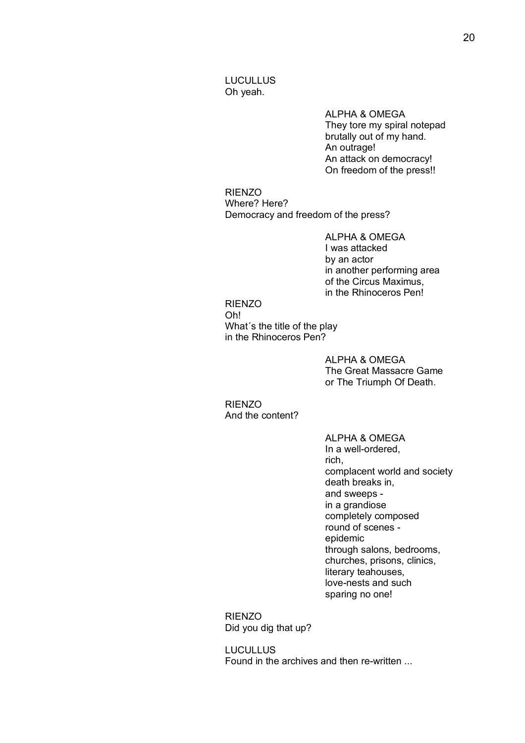### LUCULLUS Oh yeah.

ALPHA & OMEGA They tore my spiral notepad brutally out of my hand. An outrage! An attack on democracy! On freedom of the press!!

RIENZO Where? Here? Democracy and freedom of the press?

> ALPHA & OMEGA I was attacked by an actor in another performing area of the Circus Maximus, in the Rhinoceros Pen!

### RIENZO Oh! What´s the title of the play in the Rhinoceros Pen?

ALPHA & OMEGA The Great Massacre Game or The Triumph Of Death.

RIENZO And the content?

> ALPHA & OMEGA In a well-ordered, rich, complacent world and society death breaks in, and sweeps in a grandiose completely composed round of scenes epidemic through salons, bedrooms, churches, prisons, clinics, literary teahouses, love-nests and such sparing no one!

RIENZO Did you dig that up?

LUCULLUS Found in the archives and then re-written ...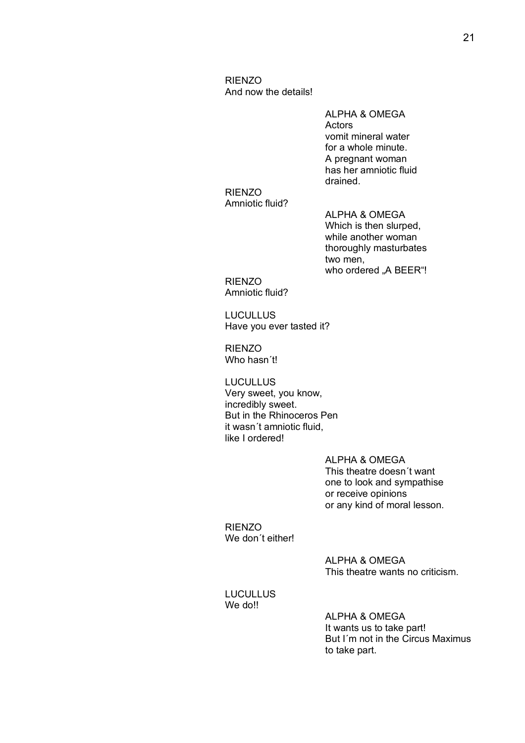RIENZO And now the details!

> ALPHA & OMEGA Actors vomit mineral water for a whole minute. A pregnant woman has her amniotic fluid drained.

RIENZO Amniotic fluid?

ALPHA & OMEGA Which is then slurped, while another woman thoroughly masturbates two men, who ordered "A BEER"!

RIENZO Amniotic fluid?

**LUCULLUS** Have you ever tasted it?

RIENZO Who hasn´t!

**LUCULLUS** Very sweet, you know, incredibly sweet. But in the Rhinoceros Pen it wasn´t amniotic fluid, like I ordered!

> ALPHA & OMEGA This theatre doesn´t want one to look and sympathise or receive opinions or any kind of moral lesson.

RIENZO We don't either!

> ALPHA & OMEGA This theatre wants no criticism.

LUCULLUS We do!!

> ALPHA & OMEGA It wants us to take part! But I´m not in the Circus Maximus to take part.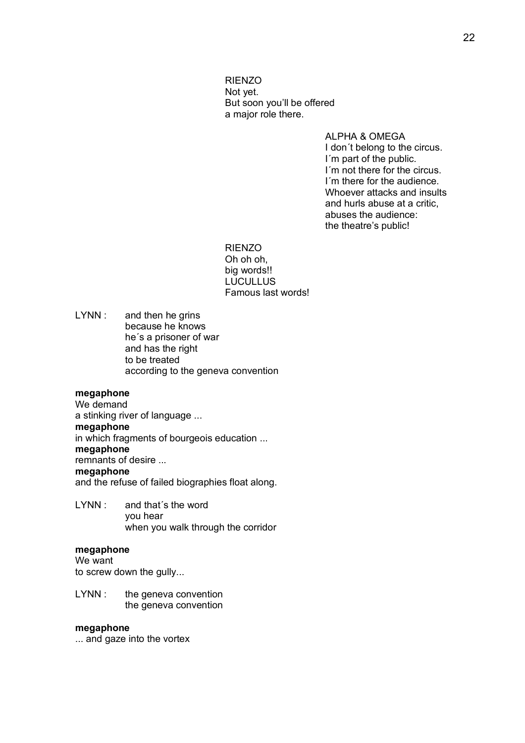RIENZO Not yet. But soon you'll be offered a major role there.

> ALPHA & OMEGA I don´t belong to the circus. I´m part of the public. I'm not there for the circus. I´m there for the audience. Whoever attacks and insults and hurls abuse at a critic, abuses the audience: the theatre's public!

RIENZO Oh oh oh, big words!! LUCULLUS Famous last words!

LYNN : and then he grins because he knows he´s a prisoner of war and has the right to be treated according to the geneva convention

### **megaphone**

We demand a stinking river of language ... **megaphone** in which fragments of bourgeois education ... **megaphone** remnants of desire ... **megaphone** and the refuse of failed biographies float along.

LYNN : and that's the word you hear when you walk through the corridor

### **megaphone**

We want

to screw down the gully...

LYNN : the geneva convention the geneva convention

#### **megaphone**

... and gaze into the vortex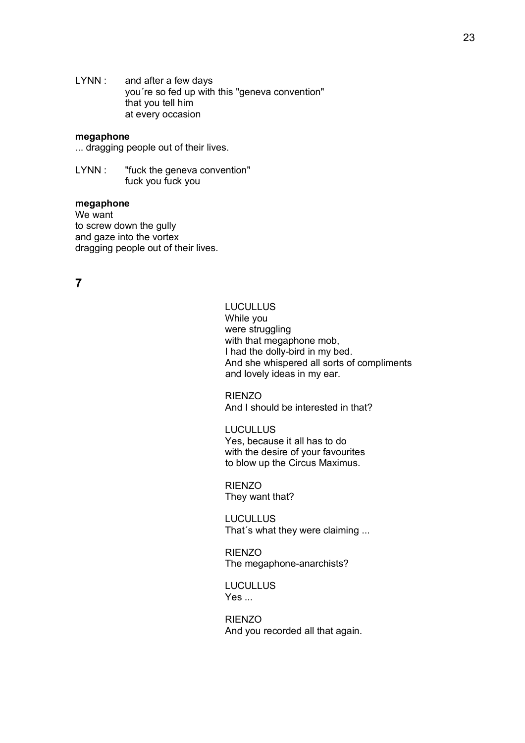LYNN : and after a few days you´re so fed up with this "geneva convention" that you tell him at every occasion

#### **megaphone**

... dragging people out of their lives.

LYNN : "fuck the geneva convention" fuck you fuck you

### **megaphone**

We want to screw down the gully and gaze into the vortex dragging people out of their lives.

**7**

## **LUCULLUS**

While you were struggling with that megaphone mob, I had the dolly-bird in my bed. And she whispered all sorts of compliments and lovely ideas in my ear.

RIENZO And I should be interested in that?

LUCULLUS Yes, because it all has to do with the desire of your favourites to blow up the Circus Maximus.

RIENZO They want that?

LUCULLUS That´s what they were claiming ...

RIENZO The megaphone-anarchists?

LUCULLUS Yes ...

RIENZO And you recorded all that again.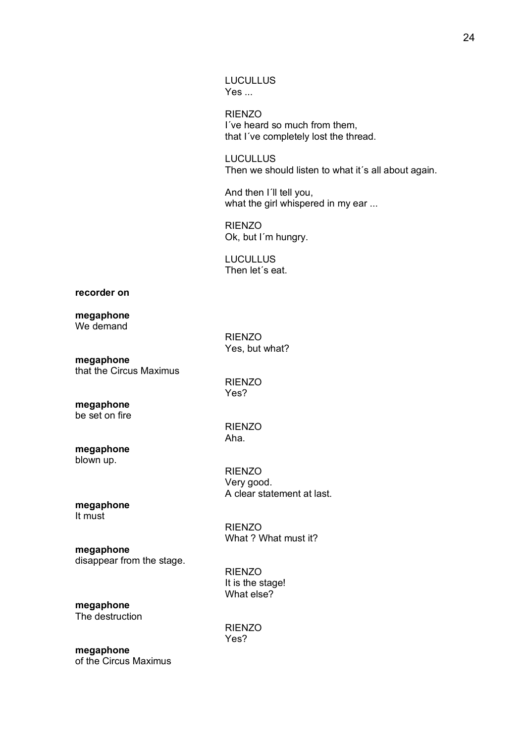LUCULLUS Yes ...

RIENZO I´ve heard so much from them, that I´ve completely lost the thread.

**LUCULLUS** Then we should listen to what it's all about again.

And then I´ll tell you, what the girl whispered in my ear ...

RIENZO Ok, but I´m hungry.

LUCULLUS Then let´s eat.

**recorder on**

#### **megaphone** We demand

RIENZO Yes, but what?

**megaphone** that the Circus Maximus

RIENZO Yes?

RIENZO Aha.

RIENZO

**megaphone** be set on fire

**megaphone** blown up.

> RIENZO Very good. A clear statement at last.

What ? What must it?

#### **megaphone** It must

## **megaphone**

disappear from the stage.

RIENZO It is the stage! What else?

#### **megaphone** The destruction

RIENZO Yes?

**megaphone** of the Circus Maximus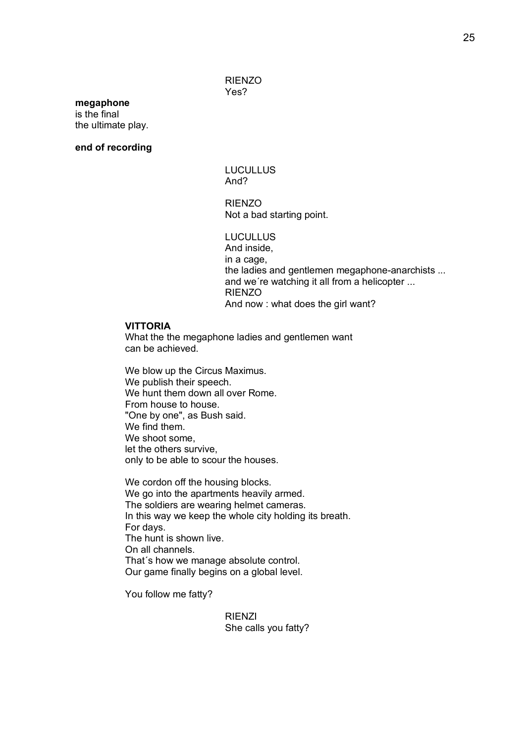### RIENZO Yes?

#### **megaphone** is the final

the ultimate play.

### **end of recording**

LUCULLUS And?

RIENZO Not a bad starting point.

LUCULLUS And inside, in a cage, the ladies and gentlemen megaphone-anarchists ... and we´re watching it all from a helicopter ... RIENZO And now : what does the girl want?

### **VITTORIA**

What the the megaphone ladies and gentlemen want can be achieved.

We blow up the Circus Maximus. We publish their speech. We hunt them down all over Rome. From house to house. "One by one", as Bush said. We find them. We shoot some, let the others survive, only to be able to scour the houses.

We cordon off the housing blocks. We go into the apartments heavily armed. The soldiers are wearing helmet cameras. In this way we keep the whole city holding its breath. For days. The hunt is shown live. On all channels. That´s how we manage absolute control. Our game finally begins on a global level.

You follow me fatty?

RIENZI She calls you fatty?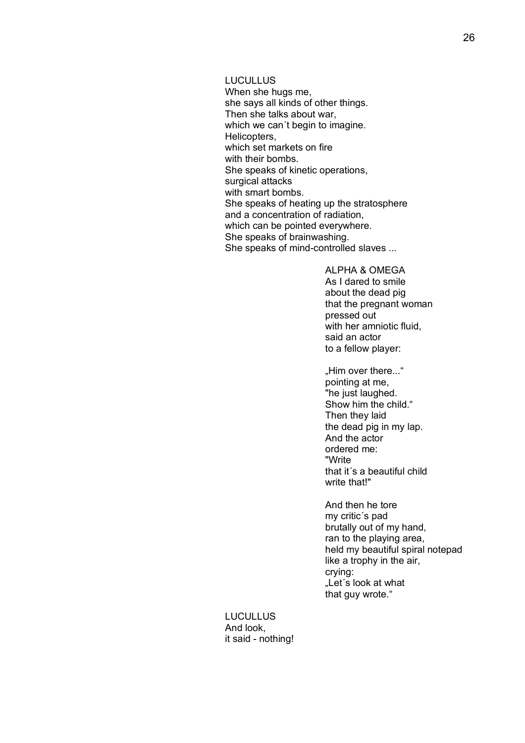**LUCULLUS** 

When she hugs me, she says all kinds of other things. Then she talks about war, which we can't begin to imagine. Helicopters, which set markets on fire with their bombs. She speaks of kinetic operations, surgical attacks with smart bombs. She speaks of heating up the stratosphere and a concentration of radiation, which can be pointed everywhere. She speaks of brainwashing. She speaks of mind-controlled slaves ...

> ALPHA & OMEGA As I dared to smile about the dead pig that the pregnant woman pressed out with her amniotic fluid, said an actor to a fellow player:

"Him over there..." pointing at me, "he just laughed. Show him the child." Then they laid the dead pig in my lap. And the actor ordered me: "Write that it´s a beautiful child write that!"

And then he tore my critic´s pad brutally out of my hand, ran to the playing area, held my beautiful spiral notepad like a trophy in the air, crying: "Let's look at what that guy wrote."

LUCULLUS And look, it said - nothing!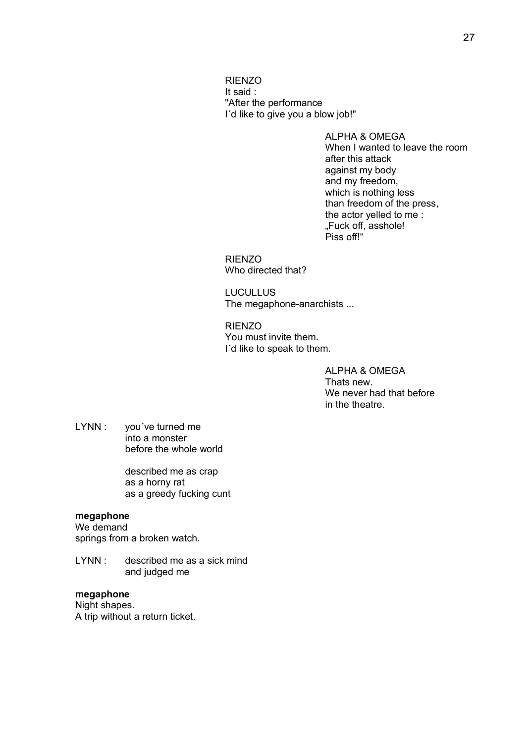RIENZO It said : "After the performance I´d like to give you a blow job!"

> ALPHA & OMEGA When I wanted to leave the room after this attack against my body and my freedom, which is nothing less than freedom of the press, the actor yelled to me : "Fuck off, asshole! Piss off!"

RIENZO Who directed that?

LUCULLUS The megaphone-anarchists ...

RIENZO You must invite them. I´d like to speak to them.

> ALPHA & OMEGA Thats new. We never had that before in the theatre.

LYNN : you've turned me into a monster before the whole world

> described me as crap as a horny rat as a greedy fucking cunt

## **megaphone**

We demand springs from a broken watch.

LYNN : described me as a sick mind and judged me

## **megaphone**

Night shapes. A trip without a return ticket.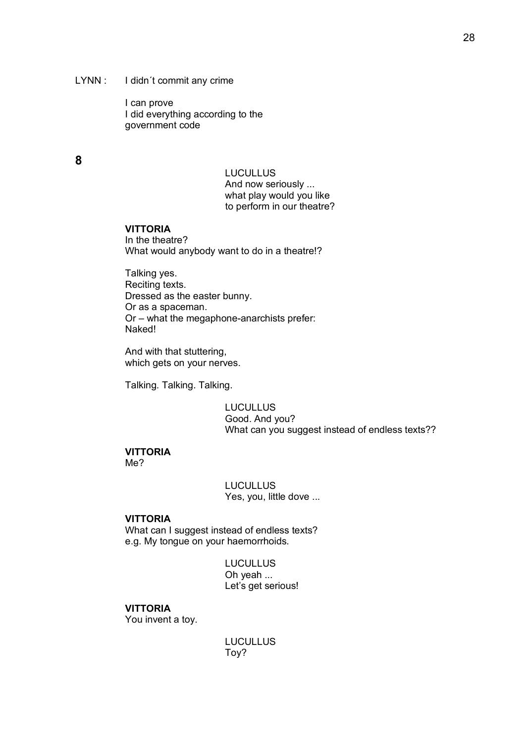### LYNN : I didn't commit any crime

I can prove I did everything according to the government code

## **8**

**LUCULLUS** And now seriously ... what play would you like to perform in our theatre?

### **VITTORIA**

In the theatre? What would anybody want to do in a theatre!?

Talking yes. Reciting texts. Dressed as the easter bunny. Or as a spaceman. Or – what the megaphone-anarchists prefer: Naked!

And with that stuttering, which gets on your nerves.

Talking. Talking. Talking.

LUCULLUS Good. And you? What can you suggest instead of endless texts??

#### **VITTORIA** Me?

**LUCULLUS** Yes, you, little dove ...

## **VITTORIA**

What can I suggest instead of endless texts? e.g. My tongue on your haemorrhoids.

> **LUCULLUS** Oh yeah ... Let's get serious!

### **VITTORIA**

You invent a toy.

**LUCULLUS** Toy?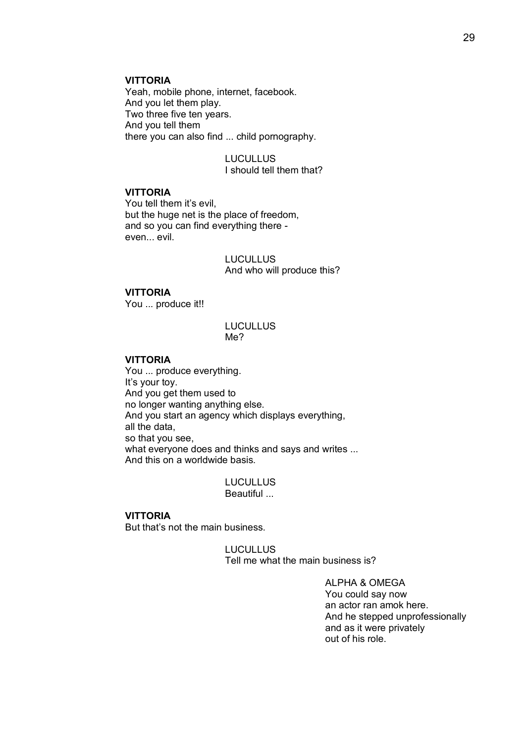### **VITTORIA**

Yeah, mobile phone, internet, facebook. And you let them play. Two three five ten years. And you tell them there you can also find ... child pornography.

> LUCULLUS I should tell them that?

## **VITTORIA**

You tell them it's evil, but the huge net is the place of freedom, and so you can find everything there even... evil.

> **LUCULLUS** And who will produce this?

#### **VITTORIA**

You ... produce it!!

### **LUCULLUS** Me?

#### **VITTORIA**

You ... produce everything. It's your toy. And you get them used to no longer wanting anything else. And you start an agency which displays everything, all the data, so that you see, what everyone does and thinks and says and writes ... And this on a worldwide basis.

#### **LUCULLUS** Beautiful ...

## **VITTORIA**

But that's not the main business.

**LUCULLUS** Tell me what the main business is?

> ALPHA & OMEGA You could say now an actor ran amok here. And he stepped unprofessionally and as it were privately out of his role.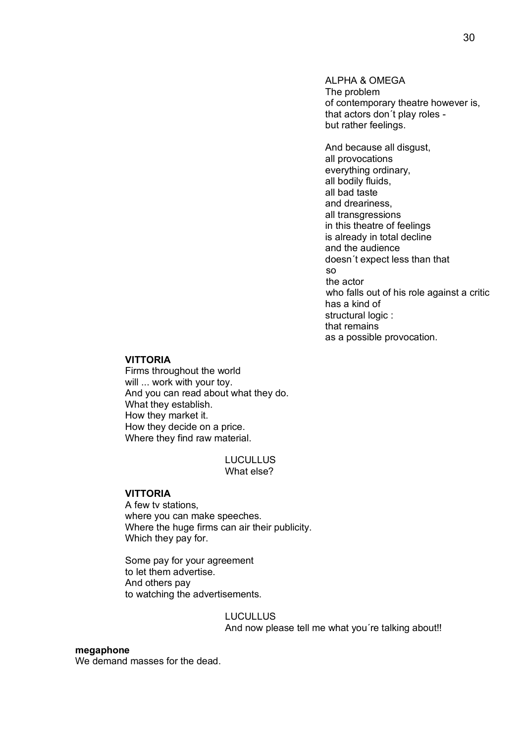ALPHA & OMEGA The problem of contemporary theatre however is, that actors don´t play roles but rather feelings.

And because all disgust, all provocations everything ordinary, all bodily fluids, all bad taste and dreariness, all transgressions in this theatre of feelings is already in total decline and the audience doesn´t expect less than that so the actor who falls out of his role against a critic has a kind of structural logic : that remains as a possible provocation.

#### **VITTORIA**

Firms throughout the world will ... work with your toy. And you can read about what they do. What they establish. How they market it. How they decide on a price. Where they find raw material.

### **LUCULLUS** What else?

#### **VITTORIA**

A few tv stations, where you can make speeches. Where the huge firms can air their publicity. Which they pay for.

Some pay for your agreement to let them advertise. And others pay to watching the advertisements.

> **LUCULLUS** And now please tell me what you're talking about!!

#### **megaphone**

We demand masses for the dead.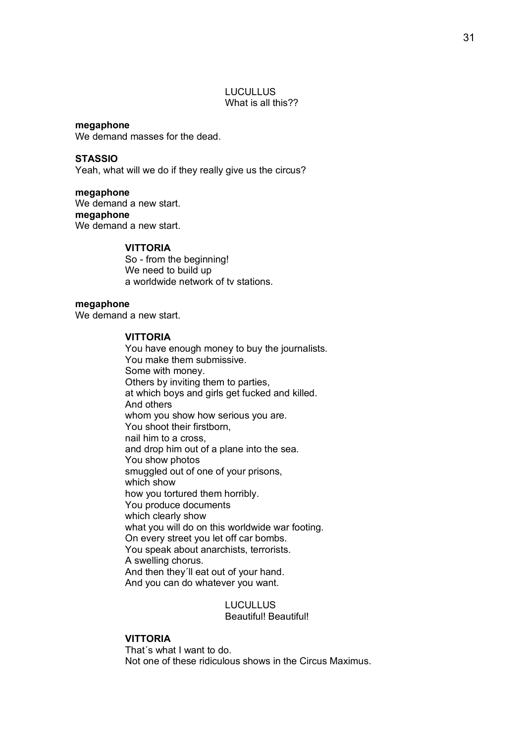#### LUCULLUS What is all this??

**megaphone** We demand masses for the dead.

**STASSIO**  Yeah, what will we do if they really give us the circus?

**megaphone** We demand a new start. **megaphone** We demand a new start.

#### **VITTORIA**

So - from the beginning! We need to build up a worldwide network of tv stations.

### **megaphone**

We demand a new start.

### **VITTORIA**

You have enough money to buy the journalists. You make them submissive. Some with money. Others by inviting them to parties, at which boys and girls get fucked and killed. And others whom you show how serious you are. You shoot their firstborn, nail him to a cross, and drop him out of a plane into the sea. You show photos smuggled out of one of your prisons, which show how you tortured them horribly. You produce documents which clearly show what you will do on this worldwide war footing. On every street you let off car bombs. You speak about anarchists, terrorists. A swelling chorus. And then they´ll eat out of your hand. And you can do whatever you want.

> LUCULLUS Beautiful! Beautiful!

#### **VITTORIA**

That´s what I want to do. Not one of these ridiculous shows in the Circus Maximus.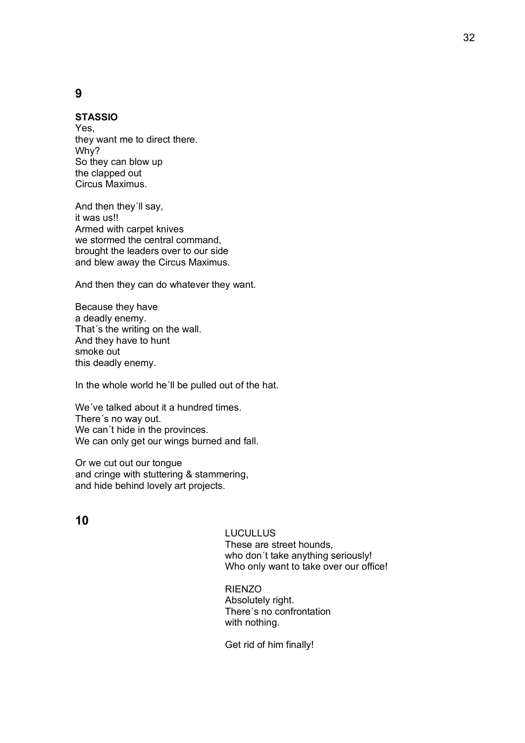## **9**

### **STASSIO**

Yes, they want me to direct there. Why? So they can blow up the clapped out Circus Maximus.

And then they´ll say, it was us!! Armed with carpet knives we stormed the central command, brought the leaders over to our side and blew away the Circus Maximus.

And then they can do whatever they want.

Because they have a deadly enemy. That´s the writing on the wall. And they have to hunt smoke out this deadly enemy.

In the whole world he'll be pulled out of the hat.

We´ve talked about it a hundred times. There´s no way out. We can´t hide in the provinces. We can only get our wings burned and fall.

Or we cut out our tongue and cringe with stuttering & stammering, and hide behind lovely art projects.

## **10**

#### **LUCULLUS**

These are street hounds, who don´t take anything seriously! Who only want to take over our office!

RIENZO Absolutely right. There´s no confrontation with nothing.

Get rid of him finally!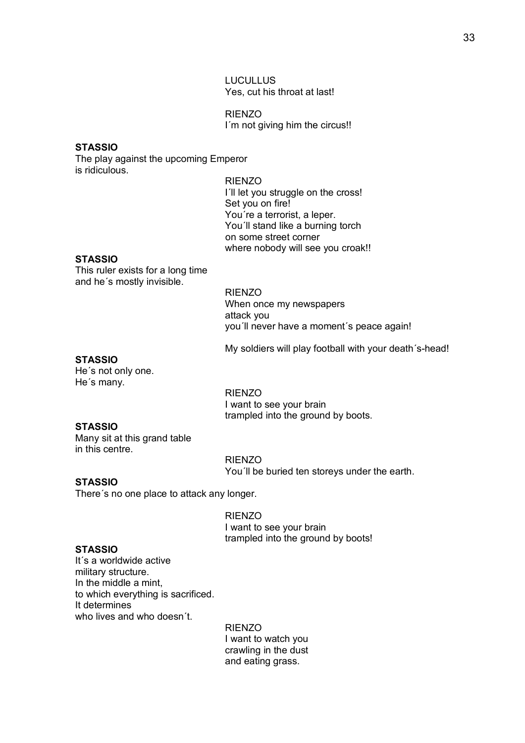LUCULLUS Yes, cut his throat at last!

RIENZO I'm not giving him the circus!!

#### **STASSIO**

The play against the upcoming Emperor is ridiculous.

### RIENZO

I´ll let you struggle on the cross! Set you on fire! You´re a terrorist, a leper. You´ll stand like a burning torch on some street corner where nobody will see you croak!!

### **STASSIO**

This ruler exists for a long time and he´s mostly invisible.

> RIENZO When once my newspapers attack you you´ll never have a moment´s peace again!

My soldiers will play football with your death´s-head!

### **STASSIO**

He´s not only one. He´s many.

> RIENZO I want to see your brain trampled into the ground by boots.

### **STASSIO**

Many sit at this grand table in this centre.

> RIENZO You´ll be buried ten storeys under the earth.

## **STASSIO**

There´s no one place to attack any longer.

RIENZO I want to see your brain trampled into the ground by boots!

## **STASSIO**

It´s a worldwide active military structure. In the middle a mint, to which everything is sacrificed. It determines who lives and who doesn´t.

> RIENZO I want to watch you crawling in the dust and eating grass.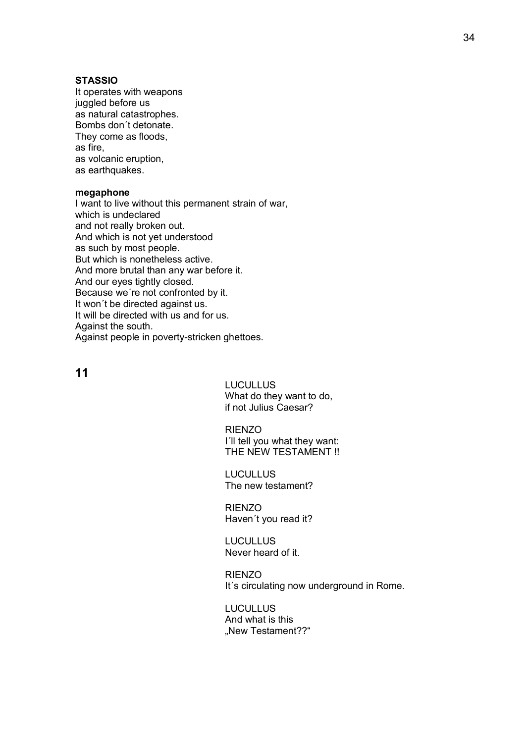### **STASSIO**

It operates with weapons juggled before us as natural catastrophes. Bombs don´t detonate. They come as floods, as fire, as volcanic eruption, as earthquakes.

#### **megaphone**

I want to live without this permanent strain of war, which is undeclared and not really broken out. And which is not yet understood as such by most people. But which is nonetheless active. And more brutal than any war before it. And our eyes tightly closed. Because we´re not confronted by it. It won´t be directed against us. It will be directed with us and for us. Against the south. Against people in poverty-stricken ghettoes.

**11**

LUCULLUS What do they want to do, if not Julius Caesar?

RIENZO

I´ll tell you what they want: THE NEW TESTAMENT !!

**LUCULLUS** The new testament?

RIENZO Haven´t you read it?

LUCULLUS Never heard of it.

RIENZO It's circulating now underground in Rome.

**LUCULLUS** And what is this "New Testament??"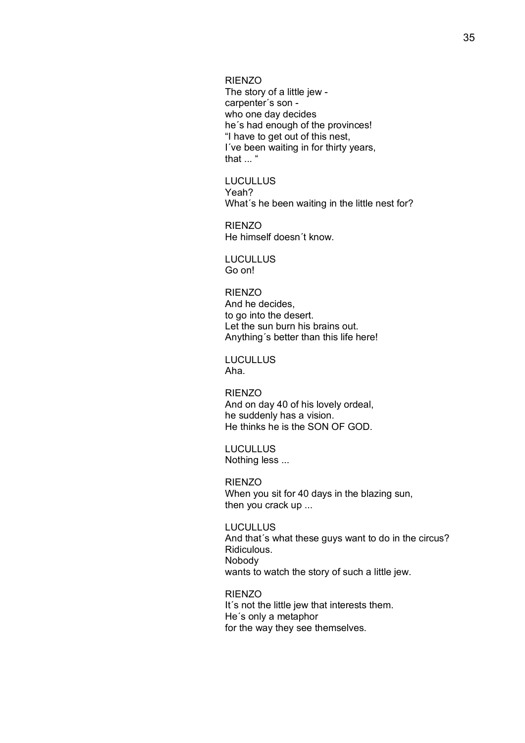RIENZO

The story of a little jew carpenter´s son who one day decides he´s had enough of the provinces! "I have to get out of this nest, I´ve been waiting in for thirty years, that ... "

LUCULLUS Yeah? What´s he been waiting in the little nest for?

RIENZO He himself doesn´t know.

LUCULLUS Go on!

#### RIENZO

And he decides, to go into the desert. Let the sun burn his brains out. Anything´s better than this life here!

**LUCULLUS** Aha.

RIENZO And on day 40 of his lovely ordeal, he suddenly has a vision. He thinks he is the SON OF GOD.

**LUCULLUS** Nothing less ...

RIENZO When you sit for 40 days in the blazing sun, then you crack up ...

**LUCULLUS** And that´s what these guys want to do in the circus? Ridiculous. Nobody wants to watch the story of such a little jew.

RIENZO It's not the little jew that interests them. He´s only a metaphor for the way they see themselves.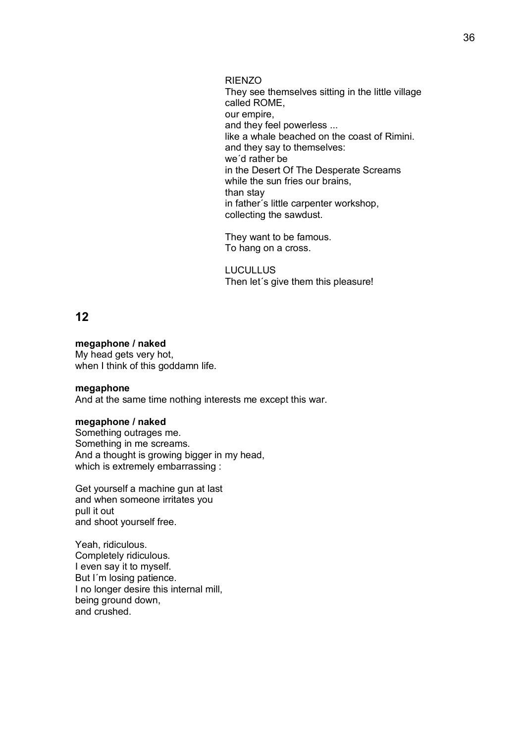RIENZO They see themselves sitting in the little village called ROME, our empire, and they feel powerless ... like a whale beached on the coast of Rimini. and they say to themselves: we´d rather be in the Desert Of The Desperate Screams while the sun fries our brains, than stay in father´s little carpenter workshop, collecting the sawdust.

They want to be famous. To hang on a cross.

**LUCULLUS** Then let´s give them this pleasure!

# **12**

### **megaphone / naked**

My head gets very hot, when I think of this goddamn life.

### **megaphone**

And at the same time nothing interests me except this war.

### **megaphone / naked**

Something outrages me. Something in me screams. And a thought is growing bigger in my head, which is extremely embarrassing :

Get yourself a machine gun at last and when someone irritates you pull it out and shoot yourself free.

Yeah, ridiculous. Completely ridiculous. I even say it to myself. But I´m losing patience. I no longer desire this internal mill, being ground down, and crushed.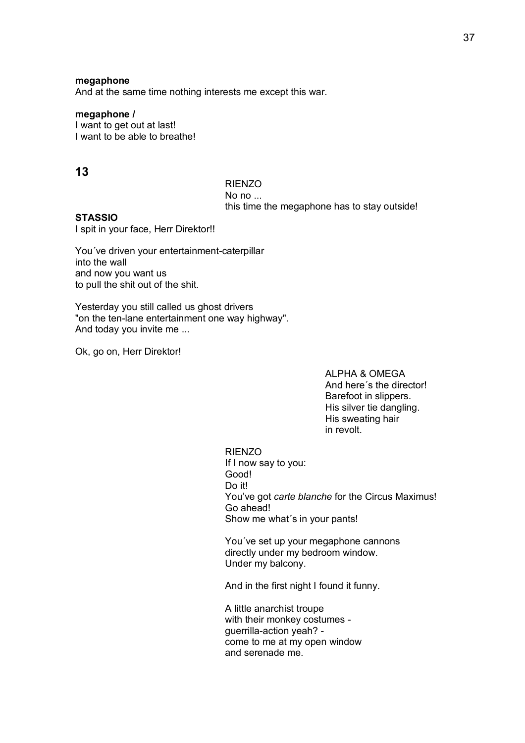#### **megaphone**

And at the same time nothing interests me except this war.

### **megaphone /**

I want to get out at last! I want to be able to breathe!

## **13**

RIENZO No no ... this time the megaphone has to stay outside!

### **STASSIO**

I spit in your face, Herr Direktor!!

You´ve driven your entertainment-caterpillar into the wall and now you want us to pull the shit out of the shit.

Yesterday you still called us ghost drivers "on the ten-lane entertainment one way highway". And today you invite me ...

Ok, go on, Herr Direktor!

ALPHA & OMEGA And here´s the director! Barefoot in slippers. His silver tie dangling. His sweating hair in revolt.

RIENZO If I now say to you: Good! Do it! You've got *carte blanche* for the Circus Maximus! Go ahead! Show me what´s in your pants!

You´ve set up your megaphone cannons directly under my bedroom window. Under my balcony.

And in the first night I found it funny.

A little anarchist troupe with their monkey costumes guerrilla-action yeah? come to me at my open window and serenade me.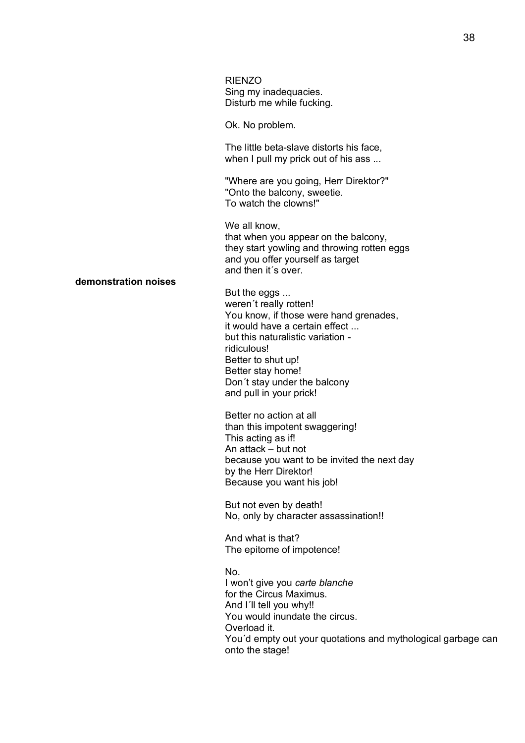|                      | <b>RIENZO</b><br>Sing my inadequacies.<br>Disturb me while fucking.                                                                                                                                                                                                          |
|----------------------|------------------------------------------------------------------------------------------------------------------------------------------------------------------------------------------------------------------------------------------------------------------------------|
| demonstration noises | Ok. No problem.                                                                                                                                                                                                                                                              |
|                      | The little beta-slave distorts his face,<br>when I pull my prick out of his ass                                                                                                                                                                                              |
|                      | "Where are you going, Herr Direktor?"<br>"Onto the balcony, sweetie.<br>To watch the clowns!"                                                                                                                                                                                |
|                      | We all know,<br>that when you appear on the balcony,<br>they start yowling and throwing rotten eggs<br>and you offer yourself as target<br>and then it's over.                                                                                                               |
|                      | But the eggs<br>weren't really rotten!<br>You know, if those were hand grenades,<br>it would have a certain effect<br>but this naturalistic variation -<br>ridiculous!<br>Better to shut up!<br>Better stay home!<br>Don't stay under the balcony<br>and pull in your prick! |
|                      | Better no action at all<br>than this impotent swaggering!<br>This acting as if!<br>An attack – but not<br>because you want to be invited the next day<br>by the Herr Direktor!<br>Because you want his job!                                                                  |

But not even by death! No, only by character assassination!!

And what is that? The epitome of impotence!

No. I won't give you *carte blanche* for the Circus Maximus. And I'll tell you why!! You would inundate the circus. Overload it. You´d empty out your quotations and mythological garbage can onto the stage!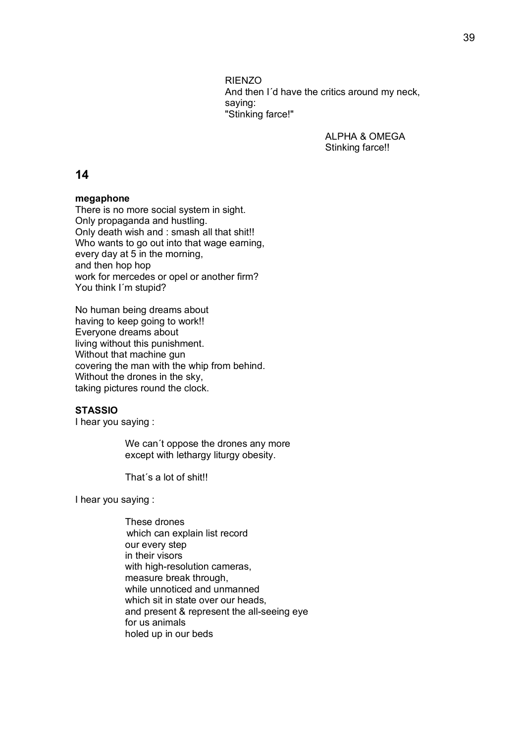RIENZO And then I´d have the critics around my neck, saying: "Stinking farce!"

> ALPHA & OMEGA Stinking farce!!

## **14**

### **megaphone**

There is no more social system in sight. Only propaganda and hustling. Only death wish and : smash all that shit!! Who wants to go out into that wage earning, every day at 5 in the morning, and then hop hop work for mercedes or opel or another firm? You think I´m stupid?

No human being dreams about having to keep going to work!! Everyone dreams about living without this punishment. Without that machine gun covering the man with the whip from behind. Without the drones in the sky, taking pictures round the clock.

## **STASSIO**

I hear you saying :

We can´t oppose the drones any more except with lethargy liturgy obesity.

That´s a lot of shit!!

I hear you saying :

These drones which can explain list record our every step in their visors with high-resolution cameras, measure break through, while unnoticed and unmanned which sit in state over our heads. and present & represent the all-seeing eye for us animals holed up in our beds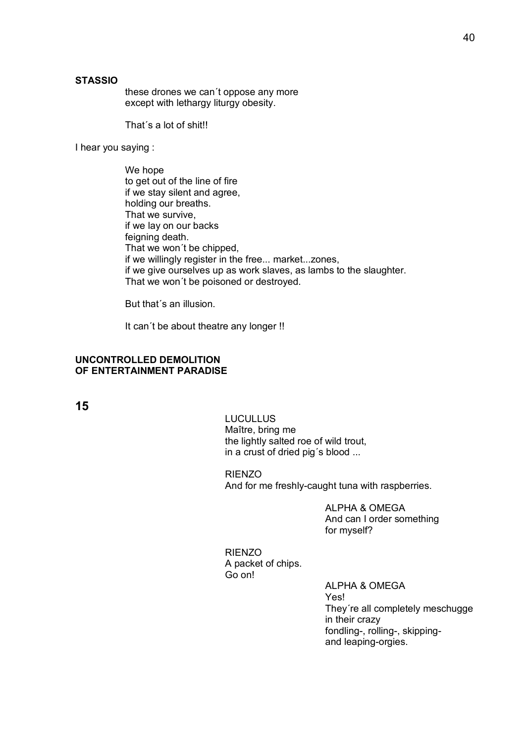### **STASSIO**

these drones we can´t oppose any more except with lethargy liturgy obesity.

That´s a lot of shit!!

I hear you saying :

We hope to get out of the line of fire if we stay silent and agree, holding our breaths. That we survive, if we lay on our backs feigning death. That we won´t be chipped, if we willingly register in the free... market...zones, if we give ourselves up as work slaves, as lambs to the slaughter. That we won´t be poisoned or destroyed.

But that´s an illusion.

It can´t be about theatre any longer !!

### **UNCONTROLLED DEMOLITION OF ENTERTAINMENT PARADISE**

**15**

LUCULLUS Maître, bring me the lightly salted roe of wild trout, in a crust of dried pig´s blood ...

RIENZO And for me freshly-caught tuna with raspberries.

> ALPHA & OMEGA And can I order something for myself?

RIENZO A packet of chips. Go on!

> ALPHA & OMEGA Yes! They´re all completely meschugge in their crazy fondling-, rolling-, skippingand leaping-orgies.